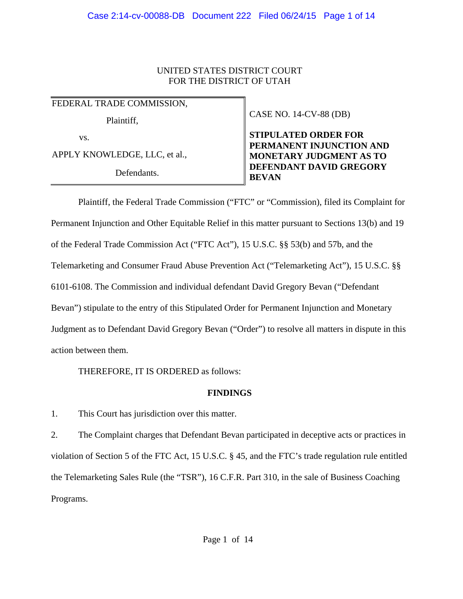## UNITED STATES DISTRICT COURT FOR THE DISTRICT OF UTAH

FEDERAL TRADE COMMISSION,

Plaintiff,

vs.

APPLY KNOWLEDGE, LLC, et al.,

Defendants.

CASE NO. 14-CV-88 (DB)

**STIPULATED ORDER FOR PERMANENT INJUNCTION AND MONETARY JUDGMENT AS TO DEFENDANT DAVID GREGORY BEVAN**

Plaintiff, the Federal Trade Commission ("FTC" or "Commission), filed its Complaint for Permanent Injunction and Other Equitable Relief in this matter pursuant to Sections 13(b) and 19 of the Federal Trade Commission Act ("FTC Act"), 15 U.S.C. §§ 53(b) and 57b, and the Telemarketing and Consumer Fraud Abuse Prevention Act ("Telemarketing Act"), 15 U.S.C. §§ 6101-6108. The Commission and individual defendant David Gregory Bevan ("Defendant Bevan") stipulate to the entry of this Stipulated Order for Permanent Injunction and Monetary Judgment as to Defendant David Gregory Bevan ("Order") to resolve all matters in dispute in this action between them.

THEREFORE, IT IS ORDERED as follows:

# **FINDINGS**

1. This Court has jurisdiction over this matter.

2. The Complaint charges that Defendant Bevan participated in deceptive acts or practices in violation of Section 5 of the FTC Act, 15 U.S.C. § 45, and the FTC's trade regulation rule entitled the Telemarketing Sales Rule (the "TSR"), 16 C.F.R. Part 310, in the sale of Business Coaching Programs.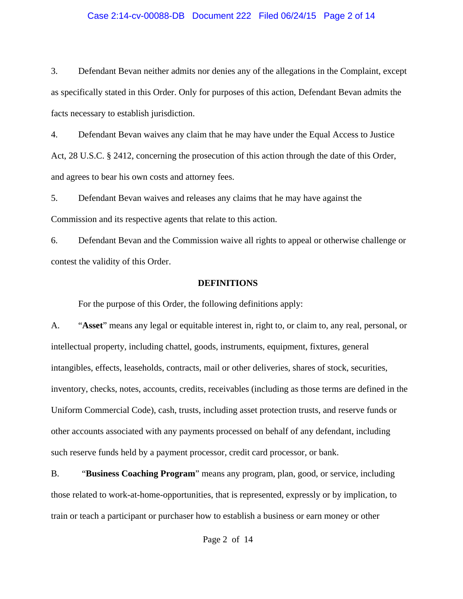### Case 2:14-cv-00088-DB Document 222 Filed 06/24/15 Page 2 of 14

3. Defendant Bevan neither admits nor denies any of the allegations in the Complaint, except as specifically stated in this Order. Only for purposes of this action, Defendant Bevan admits the facts necessary to establish jurisdiction.

4. Defendant Bevan waives any claim that he may have under the Equal Access to Justice Act, 28 U.S.C. § 2412, concerning the prosecution of this action through the date of this Order, and agrees to bear his own costs and attorney fees.

5. Defendant Bevan waives and releases any claims that he may have against the Commission and its respective agents that relate to this action.

6. Defendant Bevan and the Commission waive all rights to appeal or otherwise challenge or contest the validity of this Order.

### **DEFINITIONS**

For the purpose of this Order, the following definitions apply:

A. "**Asset**" means any legal or equitable interest in, right to, or claim to, any real, personal, or intellectual property, including chattel, goods, instruments, equipment, fixtures, general intangibles, effects, leaseholds, contracts, mail or other deliveries, shares of stock, securities, inventory, checks, notes, accounts, credits, receivables (including as those terms are defined in the Uniform Commercial Code), cash, trusts, including asset protection trusts, and reserve funds or other accounts associated with any payments processed on behalf of any defendant, including such reserve funds held by a payment processor, credit card processor, or bank.

B. "**Business Coaching Program**" means any program, plan, good, or service, including those related to work-at-home-opportunities, that is represented, expressly or by implication, to train or teach a participant or purchaser how to establish a business or earn money or other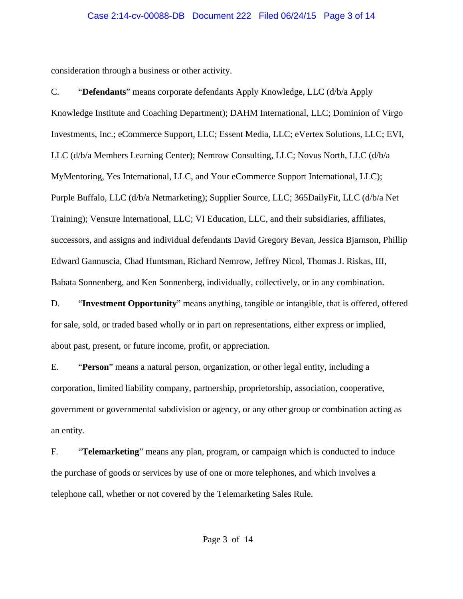### Case 2:14-cv-00088-DB Document 222 Filed 06/24/15 Page 3 of 14

consideration through a business or other activity.

C. "**Defendants**" means corporate defendants Apply Knowledge, LLC (d/b/a Apply Knowledge Institute and Coaching Department); DAHM International, LLC; Dominion of Virgo Investments, Inc.; eCommerce Support, LLC; Essent Media, LLC; eVertex Solutions, LLC; EVI, LLC (d/b/a Members Learning Center); Nemrow Consulting, LLC; Novus North, LLC (d/b/a MyMentoring, Yes International, LLC, and Your eCommerce Support International, LLC); Purple Buffalo, LLC (d/b/a Netmarketing); Supplier Source, LLC; 365DailyFit, LLC (d/b/a Net Training); Vensure International, LLC; VI Education, LLC, and their subsidiaries, affiliates, successors, and assigns and individual defendants David Gregory Bevan, Jessica Bjarnson, Phillip Edward Gannuscia, Chad Huntsman, Richard Nemrow, Jeffrey Nicol, Thomas J. Riskas, III, Babata Sonnenberg, and Ken Sonnenberg, individually, collectively, or in any combination.

D. "**Investment Opportunity**" means anything, tangible or intangible, that is offered, offered for sale, sold, or traded based wholly or in part on representations, either express or implied, about past, present, or future income, profit, or appreciation.

E. "**Person**" means a natural person, organization, or other legal entity, including a corporation, limited liability company, partnership, proprietorship, association, cooperative, government or governmental subdivision or agency, or any other group or combination acting as an entity.

F. "**Telemarketing**" means any plan, program, or campaign which is conducted to induce the purchase of goods or services by use of one or more telephones, and which involves a telephone call, whether or not covered by the Telemarketing Sales Rule.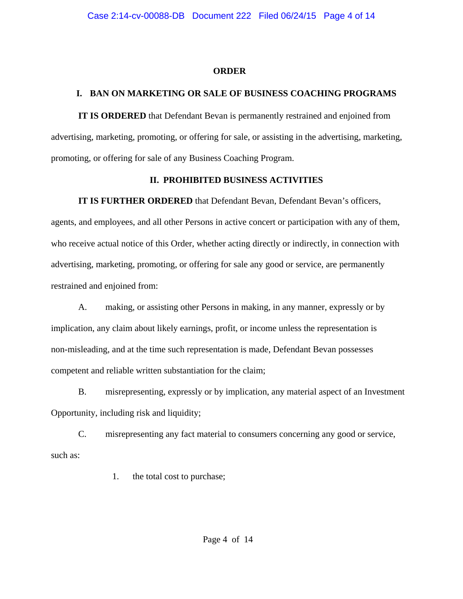## **ORDER**

# **I. BAN ON MARKETING OR SALE OF BUSINESS COACHING PROGRAMS**

**IT IS ORDERED** that Defendant Bevan is permanently restrained and enjoined from advertising, marketing, promoting, or offering for sale, or assisting in the advertising, marketing, promoting, or offering for sale of any Business Coaching Program.

## **II. PROHIBITED BUSINESS ACTIVITIES**

**IT IS FURTHER ORDERED** that Defendant Bevan, Defendant Bevan's officers,

agents, and employees, and all other Persons in active concert or participation with any of them, who receive actual notice of this Order, whether acting directly or indirectly, in connection with advertising, marketing, promoting, or offering for sale any good or service, are permanently restrained and enjoined from:

A. making, or assisting other Persons in making, in any manner, expressly or by implication, any claim about likely earnings, profit, or income unless the representation is non-misleading, and at the time such representation is made, Defendant Bevan possesses competent and reliable written substantiation for the claim;

B. misrepresenting, expressly or by implication, any material aspect of an Investment Opportunity, including risk and liquidity;

C. misrepresenting any fact material to consumers concerning any good or service, such as:

1. the total cost to purchase;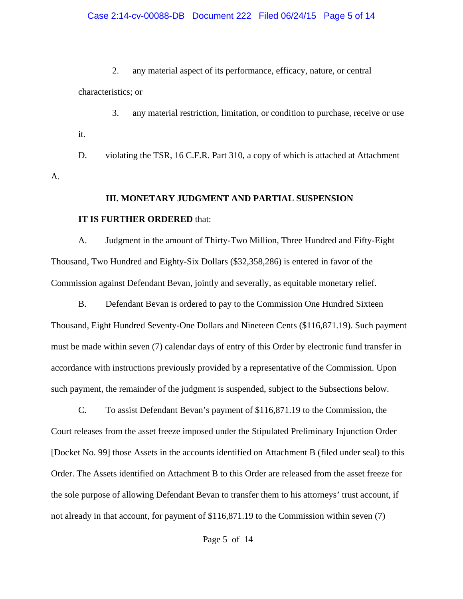#### Case 2:14-cv-00088-DB Document 222 Filed 06/24/15 Page 5 of 14

2. any material aspect of its performance, efficacy, nature, or central characteristics; or

3. any material restriction, limitation, or condition to purchase, receive or use it.

D. violating the TSR, 16 C.F.R. Part 310, a copy of which is attached at Attachment

#### **III. MONETARY JUDGMENT AND PARTIAL SUSPENSION**

#### **IT IS FURTHER ORDERED** that:

A.

A. Judgment in the amount of Thirty-Two Million, Three Hundred and Fifty-Eight Thousand, Two Hundred and Eighty-Six Dollars (\$32,358,286) is entered in favor of the Commission against Defendant Bevan, jointly and severally, as equitable monetary relief.

B. Defendant Bevan is ordered to pay to the Commission One Hundred Sixteen Thousand, Eight Hundred Seventy-One Dollars and Nineteen Cents (\$116,871.19). Such payment must be made within seven (7) calendar days of entry of this Order by electronic fund transfer in accordance with instructions previously provided by a representative of the Commission. Upon such payment, the remainder of the judgment is suspended, subject to the Subsections below.

C. To assist Defendant Bevan's payment of \$116,871.19 to the Commission, the Court releases from the asset freeze imposed under the Stipulated Preliminary Injunction Order [Docket No. 99] those Assets in the accounts identified on Attachment B (filed under seal) to this Order. The Assets identified on Attachment B to this Order are released from the asset freeze for the sole purpose of allowing Defendant Bevan to transfer them to his attorneys' trust account, if not already in that account, for payment of \$116,871.19 to the Commission within seven (7)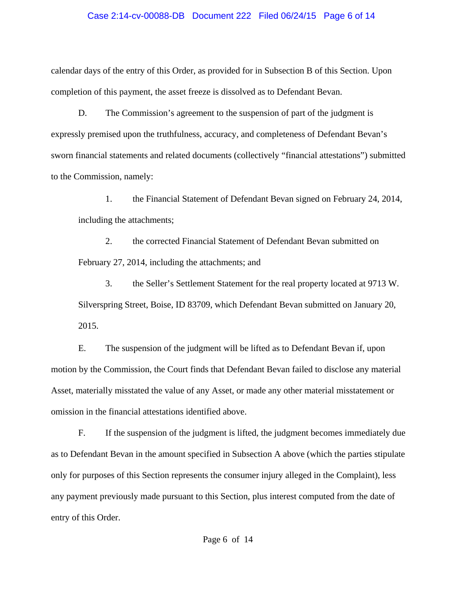### Case 2:14-cv-00088-DB Document 222 Filed 06/24/15 Page 6 of 14

calendar days of the entry of this Order, as provided for in Subsection B of this Section. Upon completion of this payment, the asset freeze is dissolved as to Defendant Bevan.

D. The Commission's agreement to the suspension of part of the judgment is expressly premised upon the truthfulness, accuracy, and completeness of Defendant Bevan's sworn financial statements and related documents (collectively "financial attestations") submitted to the Commission, namely:

1. the Financial Statement of Defendant Bevan signed on February 24, 2014, including the attachments;

2. the corrected Financial Statement of Defendant Bevan submitted on February 27, 2014, including the attachments; and

3. the Seller's Settlement Statement for the real property located at 9713 W. Silverspring Street, Boise, ID 83709, which Defendant Bevan submitted on January 20, 2015.

E. The suspension of the judgment will be lifted as to Defendant Bevan if, upon motion by the Commission, the Court finds that Defendant Bevan failed to disclose any material Asset, materially misstated the value of any Asset, or made any other material misstatement or omission in the financial attestations identified above.

F. If the suspension of the judgment is lifted, the judgment becomes immediately due as to Defendant Bevan in the amount specified in Subsection A above (which the parties stipulate only for purposes of this Section represents the consumer injury alleged in the Complaint), less any payment previously made pursuant to this Section, plus interest computed from the date of entry of this Order.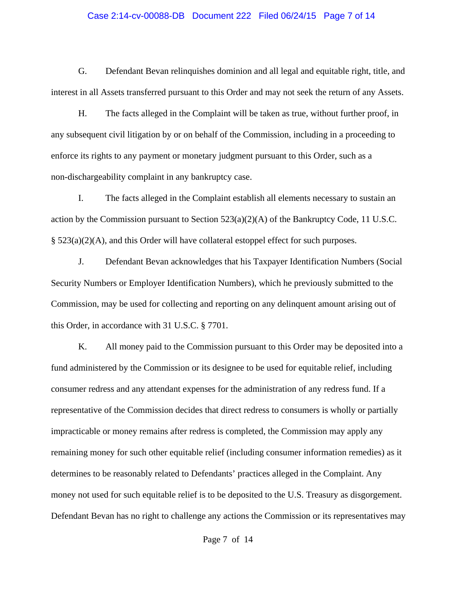#### Case 2:14-cv-00088-DB Document 222 Filed 06/24/15 Page 7 of 14

G. Defendant Bevan relinquishes dominion and all legal and equitable right, title, and interest in all Assets transferred pursuant to this Order and may not seek the return of any Assets.

H. The facts alleged in the Complaint will be taken as true, without further proof, in any subsequent civil litigation by or on behalf of the Commission, including in a proceeding to enforce its rights to any payment or monetary judgment pursuant to this Order, such as a non-dischargeability complaint in any bankruptcy case.

I. The facts alleged in the Complaint establish all elements necessary to sustain an action by the Commission pursuant to Section  $523(a)(2)(A)$  of the Bankruptcy Code, 11 U.S.C. § 523(a)(2)(A), and this Order will have collateral estoppel effect for such purposes.

J. Defendant Bevan acknowledges that his Taxpayer Identification Numbers (Social Security Numbers or Employer Identification Numbers), which he previously submitted to the Commission, may be used for collecting and reporting on any delinquent amount arising out of this Order, in accordance with 31 U.S.C. § 7701.

K. All money paid to the Commission pursuant to this Order may be deposited into a fund administered by the Commission or its designee to be used for equitable relief, including consumer redress and any attendant expenses for the administration of any redress fund. If a representative of the Commission decides that direct redress to consumers is wholly or partially impracticable or money remains after redress is completed, the Commission may apply any remaining money for such other equitable relief (including consumer information remedies) as it determines to be reasonably related to Defendants' practices alleged in the Complaint. Any money not used for such equitable relief is to be deposited to the U.S. Treasury as disgorgement. Defendant Bevan has no right to challenge any actions the Commission or its representatives may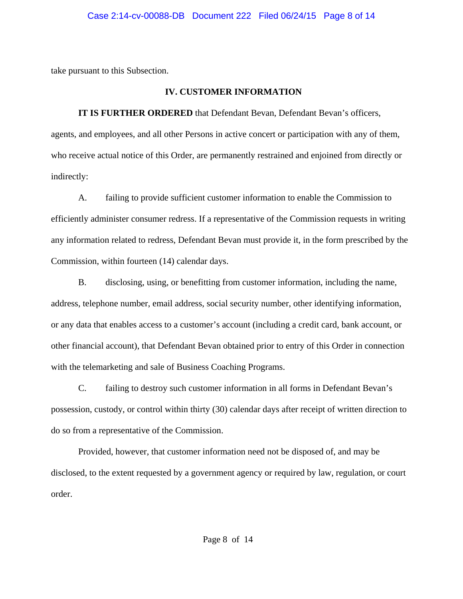take pursuant to this Subsection.

## **IV. CUSTOMER INFORMATION**

**IT IS FURTHER ORDERED** that Defendant Bevan, Defendant Bevan's officers, agents, and employees, and all other Persons in active concert or participation with any of them, who receive actual notice of this Order, are permanently restrained and enjoined from directly or indirectly:

A. failing to provide sufficient customer information to enable the Commission to efficiently administer consumer redress. If a representative of the Commission requests in writing any information related to redress, Defendant Bevan must provide it, in the form prescribed by the Commission, within fourteen (14) calendar days.

B. disclosing, using, or benefitting from customer information, including the name, address, telephone number, email address, social security number, other identifying information, or any data that enables access to a customer's account (including a credit card, bank account, or other financial account), that Defendant Bevan obtained prior to entry of this Order in connection with the telemarketing and sale of Business Coaching Programs.

C. failing to destroy such customer information in all forms in Defendant Bevan's possession, custody, or control within thirty (30) calendar days after receipt of written direction to do so from a representative of the Commission.

Provided, however, that customer information need not be disposed of, and may be disclosed, to the extent requested by a government agency or required by law, regulation, or court order.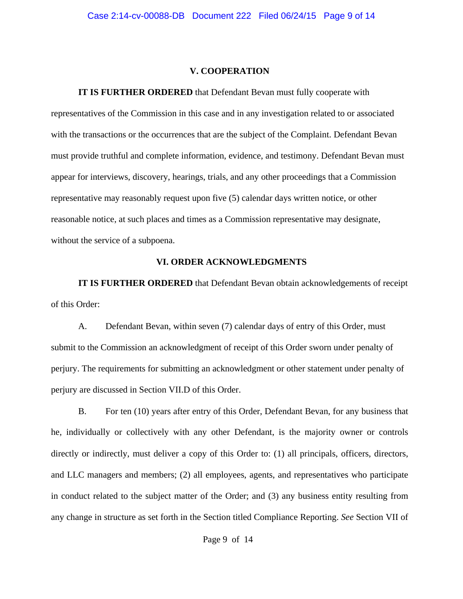#### **V. COOPERATION**

**IT IS FURTHER ORDERED** that Defendant Bevan must fully cooperate with

representatives of the Commission in this case and in any investigation related to or associated with the transactions or the occurrences that are the subject of the Complaint. Defendant Bevan must provide truthful and complete information, evidence, and testimony. Defendant Bevan must appear for interviews, discovery, hearings, trials, and any other proceedings that a Commission representative may reasonably request upon five (5) calendar days written notice, or other reasonable notice, at such places and times as a Commission representative may designate, without the service of a subpoena.

### **VI. ORDER ACKNOWLEDGMENTS**

**IT IS FURTHER ORDERED** that Defendant Bevan obtain acknowledgements of receipt of this Order:

A. Defendant Bevan, within seven (7) calendar days of entry of this Order, must submit to the Commission an acknowledgment of receipt of this Order sworn under penalty of perjury. The requirements for submitting an acknowledgment or other statement under penalty of perjury are discussed in Section VII.D of this Order.

B. For ten (10) years after entry of this Order, Defendant Bevan, for any business that he, individually or collectively with any other Defendant, is the majority owner or controls directly or indirectly, must deliver a copy of this Order to: (1) all principals, officers, directors, and LLC managers and members; (2) all employees, agents, and representatives who participate in conduct related to the subject matter of the Order; and (3) any business entity resulting from any change in structure as set forth in the Section titled Compliance Reporting. *See* Section VII of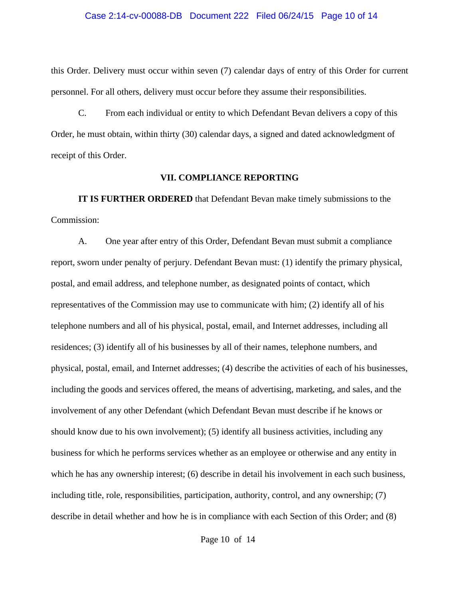#### Case 2:14-cv-00088-DB Document 222 Filed 06/24/15 Page 10 of 14

this Order. Delivery must occur within seven (7) calendar days of entry of this Order for current personnel. For all others, delivery must occur before they assume their responsibilities.

C. From each individual or entity to which Defendant Bevan delivers a copy of this Order, he must obtain, within thirty (30) calendar days, a signed and dated acknowledgment of receipt of this Order.

#### **VII. COMPLIANCE REPORTING**

**IT IS FURTHER ORDERED** that Defendant Bevan make timely submissions to the Commission:

A. One year after entry of this Order, Defendant Bevan must submit a compliance report, sworn under penalty of perjury. Defendant Bevan must: (1) identify the primary physical, postal, and email address, and telephone number, as designated points of contact, which representatives of the Commission may use to communicate with him; (2) identify all of his telephone numbers and all of his physical, postal, email, and Internet addresses, including all residences; (3) identify all of his businesses by all of their names, telephone numbers, and physical, postal, email, and Internet addresses; (4) describe the activities of each of his businesses, including the goods and services offered, the means of advertising, marketing, and sales, and the involvement of any other Defendant (which Defendant Bevan must describe if he knows or should know due to his own involvement); (5) identify all business activities, including any business for which he performs services whether as an employee or otherwise and any entity in which he has any ownership interest; (6) describe in detail his involvement in each such business, including title, role, responsibilities, participation, authority, control, and any ownership; (7) describe in detail whether and how he is in compliance with each Section of this Order; and (8)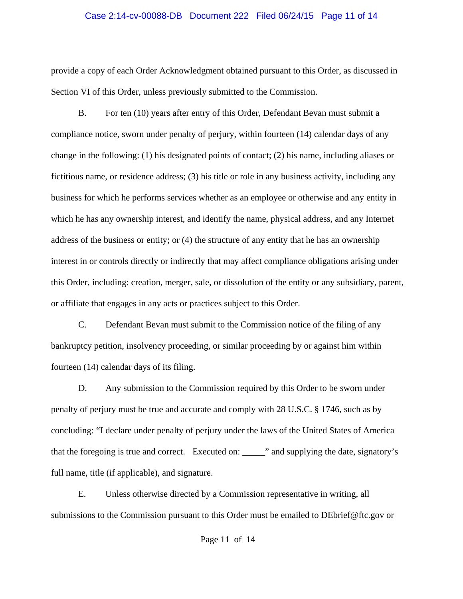#### Case 2:14-cv-00088-DB Document 222 Filed 06/24/15 Page 11 of 14

provide a copy of each Order Acknowledgment obtained pursuant to this Order, as discussed in Section VI of this Order, unless previously submitted to the Commission.

B. For ten (10) years after entry of this Order, Defendant Bevan must submit a compliance notice, sworn under penalty of perjury, within fourteen (14) calendar days of any change in the following: (1) his designated points of contact; (2) his name, including aliases or fictitious name, or residence address; (3) his title or role in any business activity, including any business for which he performs services whether as an employee or otherwise and any entity in which he has any ownership interest, and identify the name, physical address, and any Internet address of the business or entity; or (4) the structure of any entity that he has an ownership interest in or controls directly or indirectly that may affect compliance obligations arising under this Order, including: creation, merger, sale, or dissolution of the entity or any subsidiary, parent, or affiliate that engages in any acts or practices subject to this Order.

C. Defendant Bevan must submit to the Commission notice of the filing of any bankruptcy petition, insolvency proceeding, or similar proceeding by or against him within fourteen (14) calendar days of its filing.

D. Any submission to the Commission required by this Order to be sworn under penalty of perjury must be true and accurate and comply with 28 U.S.C. § 1746, such as by concluding: "I declare under penalty of perjury under the laws of the United States of America that the foregoing is true and correct. Executed on: \_\_\_\_\_" and supplying the date, signatory's full name, title (if applicable), and signature.

E. Unless otherwise directed by a Commission representative in writing, all submissions to the Commission pursuant to this Order must be emailed to DEbrief@ftc.gov or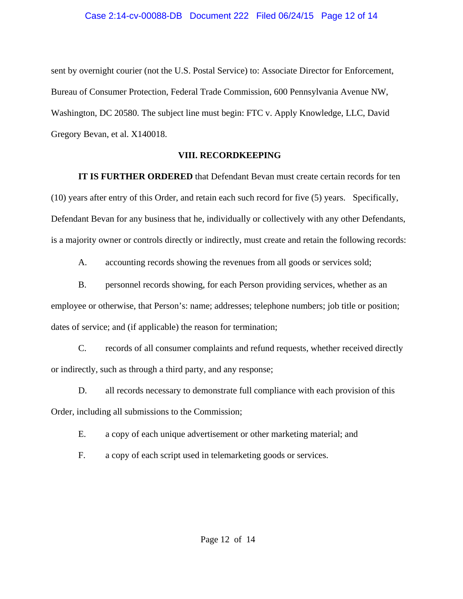sent by overnight courier (not the U.S. Postal Service) to: Associate Director for Enforcement, Bureau of Consumer Protection, Federal Trade Commission, 600 Pennsylvania Avenue NW, Washington, DC 20580. The subject line must begin: FTC v. Apply Knowledge, LLC, David Gregory Bevan, et al. X140018.

### **VIII. RECORDKEEPING**

**IT IS FURTHER ORDERED** that Defendant Bevan must create certain records for ten (10) years after entry of this Order, and retain each such record for five (5) years. Specifically, Defendant Bevan for any business that he, individually or collectively with any other Defendants, is a majority owner or controls directly or indirectly, must create and retain the following records:

A. accounting records showing the revenues from all goods or services sold;

B. personnel records showing, for each Person providing services, whether as an employee or otherwise, that Person's: name; addresses; telephone numbers; job title or position; dates of service; and (if applicable) the reason for termination;

C. records of all consumer complaints and refund requests, whether received directly or indirectly, such as through a third party, and any response;

D. all records necessary to demonstrate full compliance with each provision of this Order, including all submissions to the Commission;

E. a copy of each unique advertisement or other marketing material; and

F. a copy of each script used in telemarketing goods or services.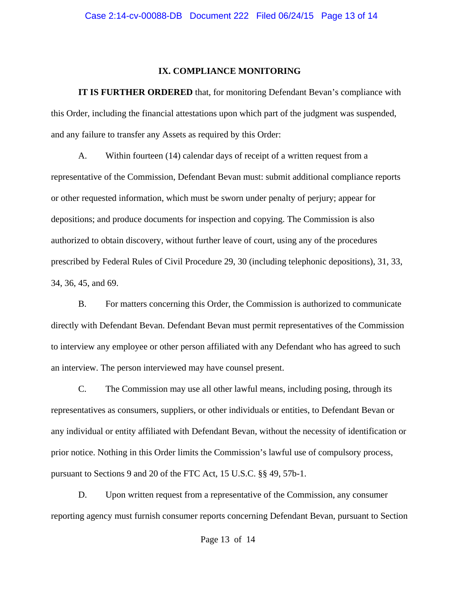#### **IX. COMPLIANCE MONITORING**

**IT IS FURTHER ORDERED** that, for monitoring Defendant Bevan's compliance with this Order, including the financial attestations upon which part of the judgment was suspended, and any failure to transfer any Assets as required by this Order:

A. Within fourteen (14) calendar days of receipt of a written request from a representative of the Commission, Defendant Bevan must: submit additional compliance reports or other requested information, which must be sworn under penalty of perjury; appear for depositions; and produce documents for inspection and copying. The Commission is also authorized to obtain discovery, without further leave of court, using any of the procedures prescribed by Federal Rules of Civil Procedure 29, 30 (including telephonic depositions), 31, 33, 34, 36, 45, and 69.

B. For matters concerning this Order, the Commission is authorized to communicate directly with Defendant Bevan. Defendant Bevan must permit representatives of the Commission to interview any employee or other person affiliated with any Defendant who has agreed to such an interview. The person interviewed may have counsel present.

C. The Commission may use all other lawful means, including posing, through its representatives as consumers, suppliers, or other individuals or entities, to Defendant Bevan or any individual or entity affiliated with Defendant Bevan, without the necessity of identification or prior notice. Nothing in this Order limits the Commission's lawful use of compulsory process, pursuant to Sections 9 and 20 of the FTC Act, 15 U.S.C. §§ 49, 57b-1.

D. Upon written request from a representative of the Commission, any consumer reporting agency must furnish consumer reports concerning Defendant Bevan, pursuant to Section